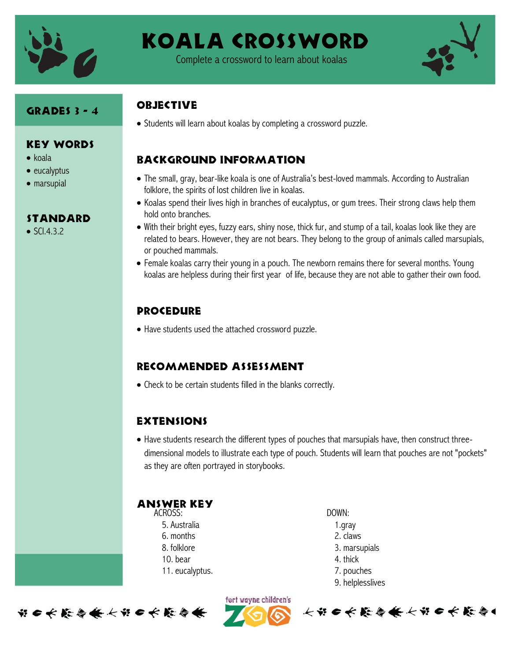

# Koala Crossword

Complete a crossword to learn about koalas



#### Grades 3 - 4

Key Words

**STANDARD** 

 $\bullet$  SCI.4.3.2

 $\bullet$  koala  $\bullet$  eucalyptus marsupial

#### **OBJECTIVE**

Students will learn about koalas by completing a crossword puzzle.

### Background information

- The small, gray, bear-like koala is one of Australia's best-loved mammals. According to Australian folklore, the spirits of lost children live in koalas.
- Koalas spend their lives high in branches of eucalyptus, or gum trees. Their strong claws help them hold onto branches.
- With their bright eyes, fuzzy ears, shiny nose, thick fur, and stump of a tail, koalas look like they are related to bears. However, they are not bears. They belong to the group of animals called marsupials, or pouched mammals.
- Female koalas carry their young in a pouch. The newborn remains there for several months. Young koalas are helpless during their first year of life, because they are not able to gather their own food.

### **PROCEDURE**

Have students used the attached crossword puzzle.

### Recommended assessment

Check to be certain students filled in the blanks correctly.

#### **EXTENSIONS**

• Have students research the different types of pouches that marsupials have, then construct threedimensional models to illustrate each type of pouch. Students will learn that pouches are not "pockets" as they are often portrayed in storybooks.

#### ACROSS: Answer Key

- 5. Australia
- 6. months
- 8. folklore
- 10. bear
- 11. eucalyptus.

DOWN:

- 1.gray 2. claws
- 
- 3. marsupials
- 4. thick
- 7. pouches
- 9. helplesslives